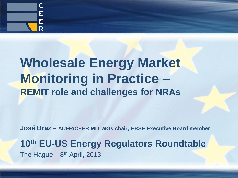

## **Wholesale Energy Market Monitoring in Practice – REMIT role and challenges for NRAs**

**José Braz** – **ACER/CEER MIT WGs chair; ERSE Executive Board member**

#### **10th EU-US Energy Regulators Roundtable** The Hague - 8<sup>th</sup> April, 2013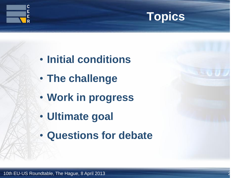



- **Initial conditions**
- **The challenge**
- **Work in progress**
- **Ultimate goal**
- **Questions for debate**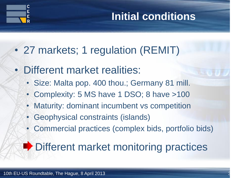

#### **Initial conditions**

- 27 markets; 1 regulation (REMIT)
- Different market realities:
	- Size: Malta pop. 400 thou.; Germany 81 mill.
	- Complexity: 5 MS have 1 DSO; 8 have >100
	- Maturity: dominant incumbent vs competition
	- Geophysical constraints (islands)
	- Commercial practices (complex bids, portfolio bids)

## **■ Different market monitoring practices**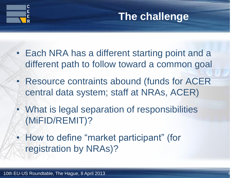



- Each NRA has a different starting point and a different path to follow toward a common goal
- Resource contraints abound (funds for ACER central data system; staff at NRAs, ACER)
- What is legal separation of responsibilities (MiFID/REMIT)?
- How to define "market participant" (for registration by NRAs)?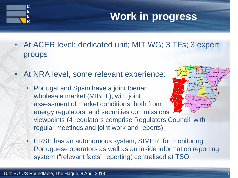

HUESCALLEID

SORIA ZARAGO

- At ACER level: dedicated unit; MIT WG; 3 TFs; 3 expert groups
- At NRA level, some relevant experience:
	- Portugal and Spain have a joint Iberian wholesale market (MIBEL), with joint assessment of market conditions, both from energy regulators' and securities commissions' viewpoints (4 regulators comprise Regulators Council, with regular meetings and joint work and reports);
	- ERSE has an autonomous system, SIMER, for monitoring Portuguese operators as well as an inside information reporting system ("relevant facts" reporting) centralised at TSO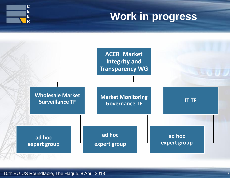



10th EU-US Roundtable, The Hague, 8 April 2013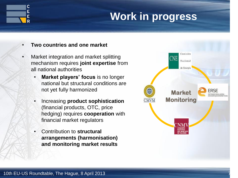

- **Two countries and one market**
- Market integration and market splitting mechanism requires **joint expertise** from all national authorities
	- **Market players' focus** is no longer national but structural conditions are not yet fully harmonized
	- Increasing **product sophistication**  (financial products, OTC, price hedging) requires **cooperation** with financial market regulators
	- Contribution to **structural arrangements (harmonisation) and monitoring market results**

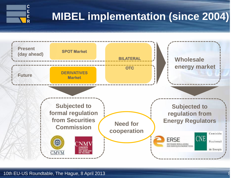

## **MIBEL implementation (since 2004)**



10th EU-US Roundtable, The Hague, 8 April 2013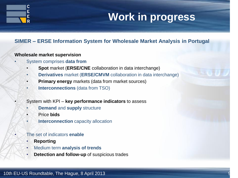

#### **SIMER – ERSE Information System for Wholesale Market Analysis in Portugal**

#### **Wholesale market supervision**

- System comprises **data from**
	- **Spot** market (**ERSE/CNE** collaboration in data interchange)
	- **Derivatives** market (**ERSE/CMVM** collaboration in data interchange)
	- **Primary energy** markets (data from market sources)
	- **Interconnections** (data from TSO)

#### • System with KPI – **key performance indicators** to assess

- **Demand** and **supply** structure
- Price **bids**
- **Interconnection** capacity allocation
- The set of indicators **enable**
	- **Reporting**
	- Medium term **analysis of trends**
	- **Detection and follow-up** of suspicious trades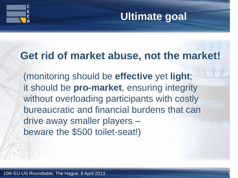



#### **Get rid of market abuse, not the market!**

 (monitoring should be **effective** yet **light**; it should be **pro-market**, ensuring integrity without overloading participants with costly bureaucratic and financial burdens that can drive away smaller players – beware the \$500 toilet-seat!)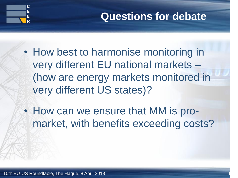

#### **Questions for debate**

- How best to harmonise monitoring in very different EU national markets – (how are energy markets monitored in very different US states)?
- How can we ensure that MM is promarket, with benefits exceeding costs?